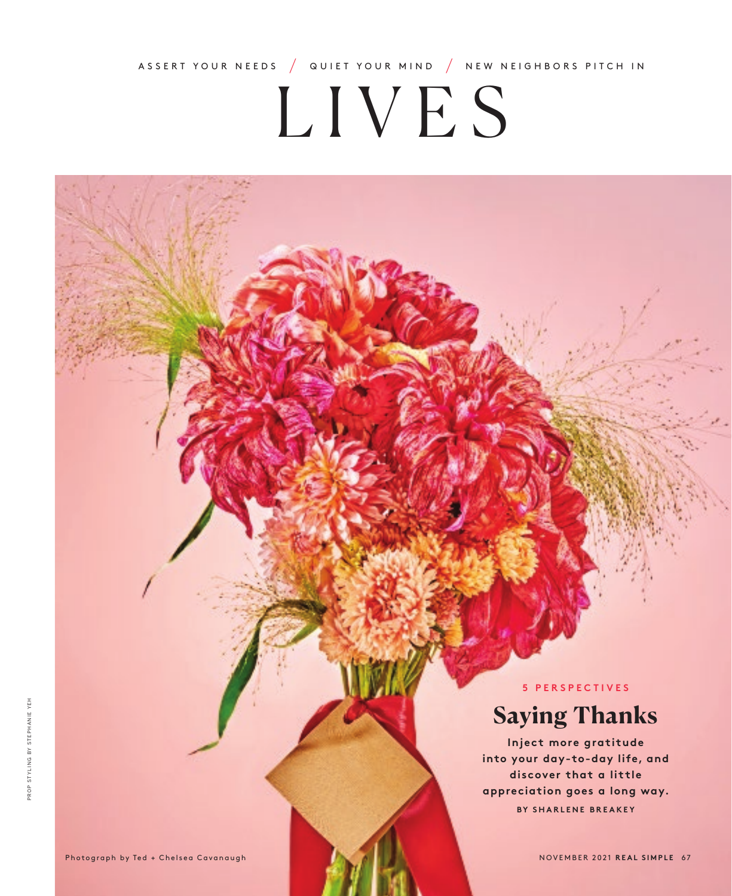ASSERT YOUR NEEDS **/** QUIET YOUR MIND **/** NEW NEIGHBORS PITCH IN

# LIVES

**5 PERSPECTIVES**

# **Saying Thanks**

**Inject more gratitude into your day-to-day life, and discover that a little appreciation goes a long way. BY SHARLENE BREAKEY**